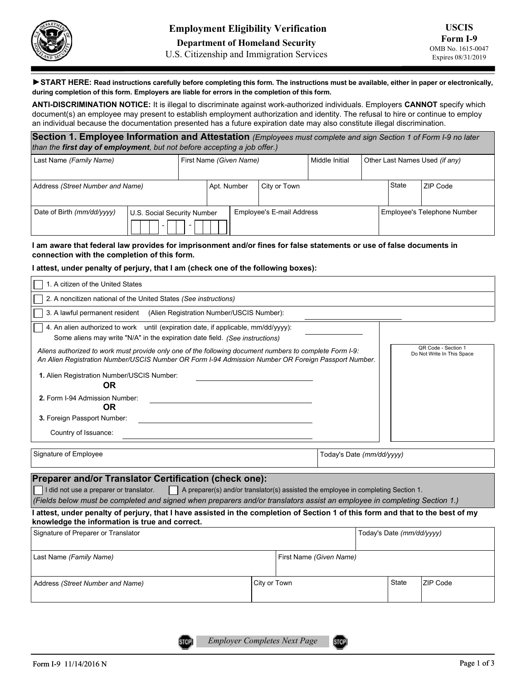

U.S. Citizenship and Immigration Services

▶START HERE: Read instructions carefully before completing this form. The instructions must be available, either in paper or electronically, during completion of this form. Employers are liable for errors in the completion of this form.

ANTI-DISCRIMINATION NOTICE: It is illegal to discriminate against work-authorized individuals. Employers CANNOT specify which document(s) an employee may present to establish employment authorization and identity. The refusal to hire or continue to employ an individual because the documentation presented has a future expiration date may also constitute illegal discrimination.

| Section 1. Employee Information and Attestation (Employees must complete and sign Section 1 of Form I-9 no later<br>than the first day of employment, but not before accepting a job offer.) |  |                         |             |                                  |                |                                |  |         |                             |
|----------------------------------------------------------------------------------------------------------------------------------------------------------------------------------------------|--|-------------------------|-------------|----------------------------------|----------------|--------------------------------|--|---------|-----------------------------|
| Last Name (Family Name)                                                                                                                                                                      |  | First Name (Given Name) |             |                                  | Middle Initial | Other Last Names Used (if any) |  |         |                             |
| Address (Street Number and Name)                                                                                                                                                             |  |                         | Apt. Number |                                  | City or Town   |                                |  | l State | ZIP Code                    |
| Date of Birth (mm/dd/yyyy)<br>U.S. Social Security Number                                                                                                                                    |  |                         |             | <b>Employee's E-mail Address</b> |                |                                |  |         | Employee's Telephone Number |

#### I am aware that federal law provides for imprisonment and/or fines for false statements or use of false documents in connection with the completion of this form.

### I attest, under penalty of perjury, that I am (check one of the following boxes):

- -

| 1. A citizen of the United States                                                                                                                                                                                                                                                                                  |              |  |                           |                         |                           |                                                   |  |  |
|--------------------------------------------------------------------------------------------------------------------------------------------------------------------------------------------------------------------------------------------------------------------------------------------------------------------|--------------|--|---------------------------|-------------------------|---------------------------|---------------------------------------------------|--|--|
| 2. A noncitizen national of the United States (See instructions)                                                                                                                                                                                                                                                   |              |  |                           |                         |                           |                                                   |  |  |
| 3. A lawful permanent resident (Alien Registration Number/USCIS Number):                                                                                                                                                                                                                                           |              |  |                           |                         |                           |                                                   |  |  |
| 4. An alien authorized to work until (expiration date, if applicable, mm/dd/yyyy):                                                                                                                                                                                                                                 |              |  |                           |                         |                           |                                                   |  |  |
| Some aliens may write "N/A" in the expiration date field. (See instructions)                                                                                                                                                                                                                                       |              |  |                           |                         |                           |                                                   |  |  |
| Aliens authorized to work must provide only one of the following document numbers to complete Form I-9:<br>An Alien Registration Number/USCIS Number OR Form I-94 Admission Number OR Foreign Passport Number.                                                                                                     |              |  |                           |                         |                           | QR Code - Section 1<br>Do Not Write In This Space |  |  |
| 1. Alien Registration Number/USCIS Number:<br><b>OR</b>                                                                                                                                                                                                                                                            |              |  |                           |                         |                           |                                                   |  |  |
| 2. Form I-94 Admission Number:<br>0R                                                                                                                                                                                                                                                                               |              |  |                           |                         |                           |                                                   |  |  |
| 3. Foreign Passport Number:                                                                                                                                                                                                                                                                                        |              |  |                           |                         |                           |                                                   |  |  |
| Country of Issuance:                                                                                                                                                                                                                                                                                               |              |  |                           |                         |                           |                                                   |  |  |
| Signature of Employee                                                                                                                                                                                                                                                                                              |              |  | Today's Date (mm/dd/yyyy) |                         |                           |                                                   |  |  |
| Preparer and/or Translator Certification (check one):<br>A preparer(s) and/or translator(s) assisted the employee in completing Section 1.<br>I did not use a preparer or translator.<br>(Fields below must be completed and signed when preparers and/or translators assist an employee in completing Section 1.) |              |  |                           |                         |                           |                                                   |  |  |
| l attest, under penalty of perjury, that I have assisted in the completion of Section 1 of this form and that to the best of my<br>knowledge the information is true and correct.                                                                                                                                  |              |  |                           |                         |                           |                                                   |  |  |
| Signature of Preparer or Translator                                                                                                                                                                                                                                                                                |              |  |                           |                         | Today's Date (mm/dd/yyyy) |                                                   |  |  |
| Last Name (Family Name)                                                                                                                                                                                                                                                                                            |              |  |                           | First Name (Given Name) |                           |                                                   |  |  |
| Address (Street Number and Name)                                                                                                                                                                                                                                                                                   | City or Town |  |                           | <b>State</b>            | ZIP Code                  |                                                   |  |  |

STOP<sub>I</sub>

**STOP**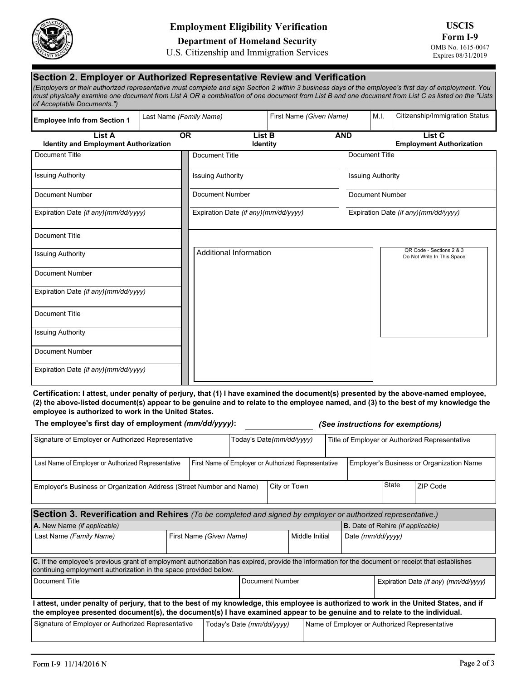

## Employment Eligibility Verification

Department of Homeland Security

U.S. Citizenship and Immigration Services

### Section 2. Employer or Authorized Representative Review and Verification (Employers or their authorized representative must complete and sign Section 2 within 3 business days of the employee's first day of employment. You must physically examine one document from List A OR a combination of one document from List B and one document from List C as listed on the "Lists of Acceptable Documents.") Employee Info from Section 1 | Last Name (Family Name) | First Name (Given Name) | M.I. | Citizenship/Immigration Status List A Identity and Employment Authorization **Internal Communisty Communisty** Identity **Internal Communisty Communisty** Employment Authorization OR List B AND List C Additional Information QR Code - Sections 2 & 3 Do Not Write In This Space Document Title Issuing Authority Document Number Expiration Date (if any)(mm/dd/yyyy) Document Title Issuing Authority Document Number Expiration Date (if any)(mm/dd/yyyy) Document Title Issuing Authority Document Number Expiration Date (if any)(mm/dd/yyyy) Document Title Issuing Authority Document Number Expiration Date (if any)(mm/dd/yyyy) Document Title Issuing Authority Document Number Expiration Date (if any)(mm/dd/yyyy)

Certification: I attest, under penalty of perjury, that (1) I have examined the document(s) presented by the above-named employee, (2) the above-listed document(s) appear to be genuine and to relate to the employee named, and (3) to the best of my knowledge the employee is authorized to work in the United States.

The employee's first day of employment (mm/dd/yyyy): (See instructions for exemptions)

| Signature of Employer or Authorized Representative                                                                                                                                                                                                                |  |  | Today's Date(mm/dd/yyyy)                            |                 |                | Title of Employer or Authorized Representative |                                          |                                       |          |  |  |
|-------------------------------------------------------------------------------------------------------------------------------------------------------------------------------------------------------------------------------------------------------------------|--|--|-----------------------------------------------------|-----------------|----------------|------------------------------------------------|------------------------------------------|---------------------------------------|----------|--|--|
| Last Name of Employer or Authorized Representative                                                                                                                                                                                                                |  |  | First Name of Employer or Authorized Representative |                 |                |                                                | Employer's Business or Organization Name |                                       |          |  |  |
| Employer's Business or Organization Address (Street Number and Name)                                                                                                                                                                                              |  |  |                                                     | City or Town    |                |                                                |                                          | State                                 | ZIP Code |  |  |
| Section 3. Reverification and Rehires (To be completed and signed by employer or authorized representative.)                                                                                                                                                      |  |  |                                                     |                 |                |                                                |                                          |                                       |          |  |  |
| A. New Name (if applicable)                                                                                                                                                                                                                                       |  |  |                                                     |                 |                |                                                | <b>B.</b> Date of Rehire (if applicable) |                                       |          |  |  |
| Last Name (Family Name)<br>First Name (Given Name)                                                                                                                                                                                                                |  |  |                                                     |                 | Middle Initial |                                                | Date (mm/dd/yyyy)                        |                                       |          |  |  |
| C. If the employee's previous grant of employment authorization has expired, provide the information for the document or receipt that establishes<br>continuing employment authorization in the space provided below.                                             |  |  |                                                     |                 |                |                                                |                                          |                                       |          |  |  |
| l Document Title                                                                                                                                                                                                                                                  |  |  |                                                     | Document Number |                |                                                |                                          | Expiration Date (if any) (mm/dd/yyyy) |          |  |  |
| attest, under penalty of perjury, that to the best of my knowledge, this employee is authorized to work in the United States, and if<br>the employee presented document(s), the document(s) I have examined appear to be genuine and to relate to the individual. |  |  |                                                     |                 |                |                                                |                                          |                                       |          |  |  |
| Signature of Employer or Authorized Representative                                                                                                                                                                                                                |  |  | Today's Date (mm/dd/yyyy)                           |                 |                | Name of Employer or Authorized Representative  |                                          |                                       |          |  |  |